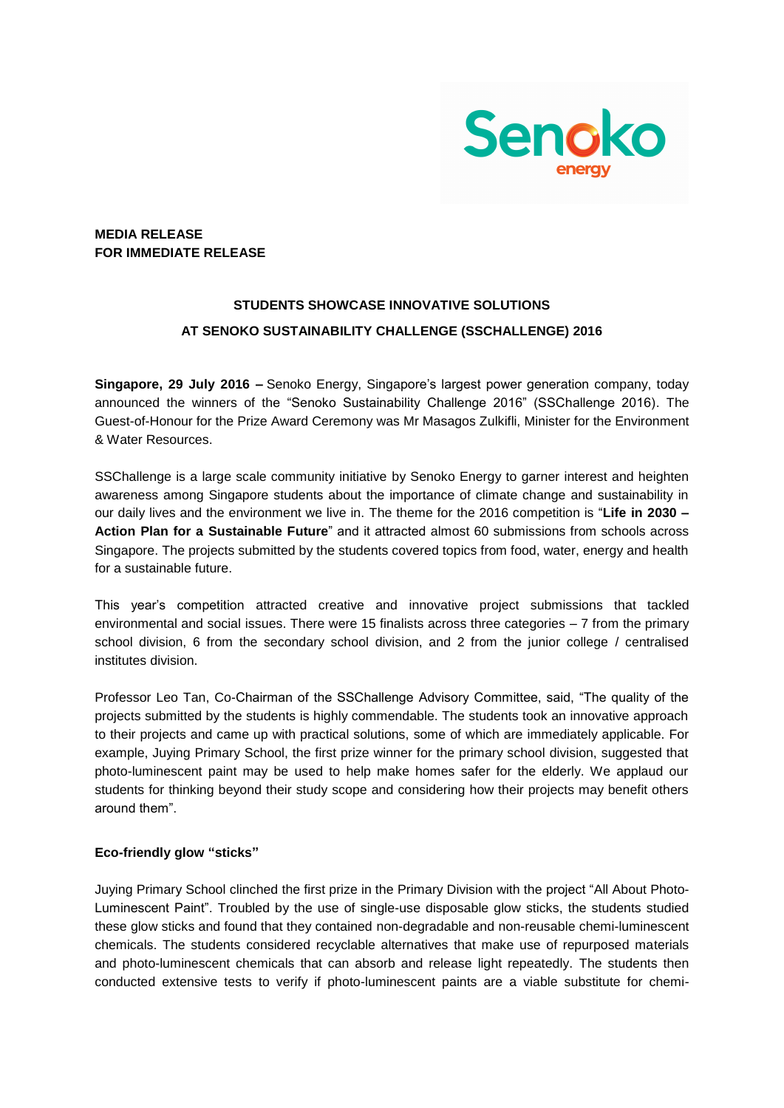

## **MEDIA RELEASE FOR IMMEDIATE RELEASE**

# **STUDENTS SHOWCASE INNOVATIVE SOLUTIONS AT SENOKO SUSTAINABILITY CHALLENGE (SSCHALLENGE) 2016**

**Singapore, 29 July 2016 –** Senoko Energy, Singapore's largest power generation company, today announced the winners of the "Senoko Sustainability Challenge 2016" (SSChallenge 2016). The Guest-of-Honour for the Prize Award Ceremony was Mr Masagos Zulkifli, Minister for the Environment & Water Resources.

SSChallenge is a large scale community initiative by Senoko Energy to garner interest and heighten awareness among Singapore students about the importance of climate change and sustainability in our daily lives and the environment we live in. The theme for the 2016 competition is "**Life in 2030 – Action Plan for a Sustainable Future**" and it attracted almost 60 submissions from schools across Singapore. The projects submitted by the students covered topics from food, water, energy and health for a sustainable future.

This year's competition attracted creative and innovative project submissions that tackled environmental and social issues. There were 15 finalists across three categories – 7 from the primary school division, 6 from the secondary school division, and 2 from the junior college / centralised institutes division.

Professor Leo Tan, Co-Chairman of the SSChallenge Advisory Committee, said, "The quality of the projects submitted by the students is highly commendable. The students took an innovative approach to their projects and came up with practical solutions, some of which are immediately applicable. For example, Juying Primary School, the first prize winner for the primary school division, suggested that photo-luminescent paint may be used to help make homes safer for the elderly. We applaud our students for thinking beyond their study scope and considering how their projects may benefit others around them".

#### **Eco-friendly glow "sticks"**

Juying Primary School clinched the first prize in the Primary Division with the project "All About Photo-Luminescent Paint". Troubled by the use of single-use disposable glow sticks, the students studied these glow sticks and found that they contained non-degradable and non-reusable chemi-luminescent chemicals. The students considered recyclable alternatives that make use of repurposed materials and photo-luminescent chemicals that can absorb and release light repeatedly. The students then conducted extensive tests to verify if photo-luminescent paints are a viable substitute for chemi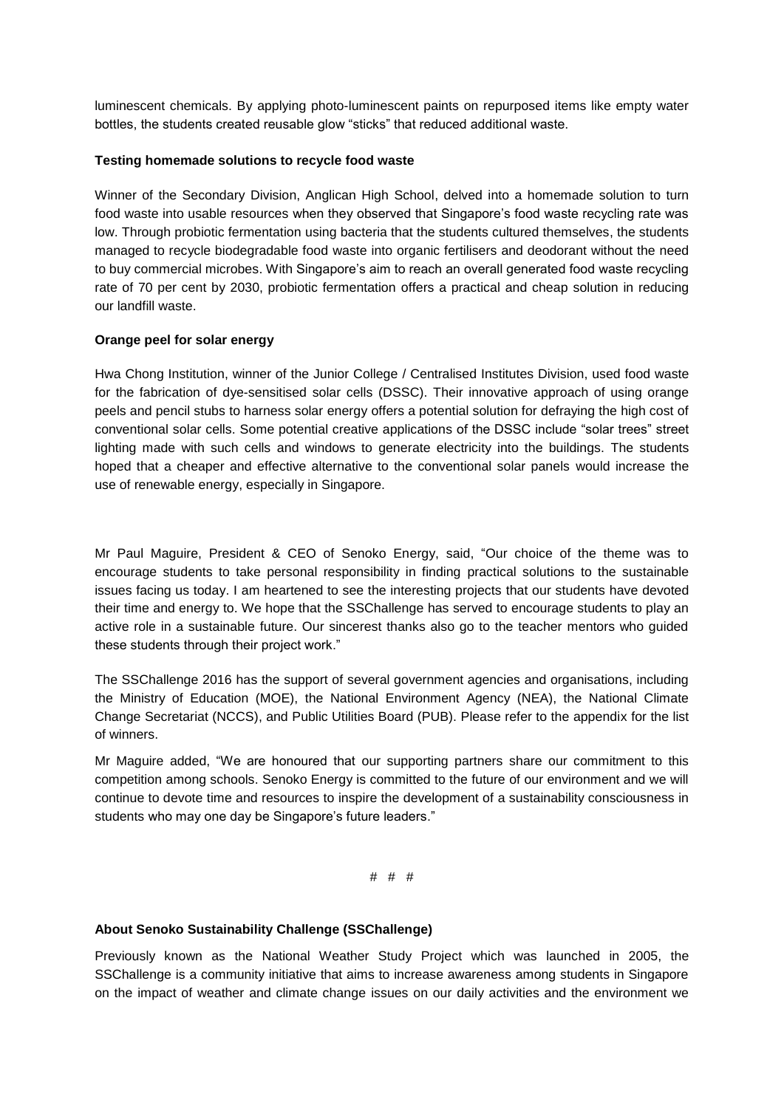luminescent chemicals. By applying photo-luminescent paints on repurposed items like empty water bottles, the students created reusable glow "sticks" that reduced additional waste.

#### **Testing homemade solutions to recycle food waste**

Winner of the Secondary Division, Anglican High School, delved into a homemade solution to turn food waste into usable resources when they observed that Singapore's food waste recycling rate was low. Through probiotic fermentation using bacteria that the students cultured themselves, the students managed to recycle biodegradable food waste into organic fertilisers and deodorant without the need to buy commercial microbes. With Singapore's aim to reach an overall generated food waste recycling rate of 70 per cent by 2030, probiotic fermentation offers a practical and cheap solution in reducing our landfill waste.

#### **Orange peel for solar energy**

Hwa Chong Institution, winner of the Junior College / Centralised Institutes Division, used food waste for the fabrication of dye-sensitised solar cells (DSSC). Their innovative approach of using orange peels and pencil stubs to harness solar energy offers a potential solution for defraying the high cost of conventional solar cells. Some potential creative applications of the DSSC include "solar trees" street lighting made with such cells and windows to generate electricity into the buildings. The students hoped that a cheaper and effective alternative to the conventional solar panels would increase the use of renewable energy, especially in Singapore.

Mr Paul Maguire, President & CEO of Senoko Energy, said, "Our choice of the theme was to encourage students to take personal responsibility in finding practical solutions to the sustainable issues facing us today. I am heartened to see the interesting projects that our students have devoted their time and energy to. We hope that the SSChallenge has served to encourage students to play an active role in a sustainable future. Our sincerest thanks also go to the teacher mentors who guided these students through their project work."

The SSChallenge 2016 has the support of several government agencies and organisations, including the Ministry of Education (MOE), the National Environment Agency (NEA), the National Climate Change Secretariat (NCCS), and Public Utilities Board (PUB). Please refer to the appendix for the list of winners.

Mr Maguire added, "We are honoured that our supporting partners share our commitment to this competition among schools. Senoko Energy is committed to the future of our environment and we will continue to devote time and resources to inspire the development of a sustainability consciousness in students who may one day be Singapore's future leaders."

# # #

#### **About Senoko Sustainability Challenge (SSChallenge)**

Previously known as the National Weather Study Project which was launched in 2005, the SSChallenge is a community initiative that aims to increase awareness among students in Singapore on the impact of weather and climate change issues on our daily activities and the environment we